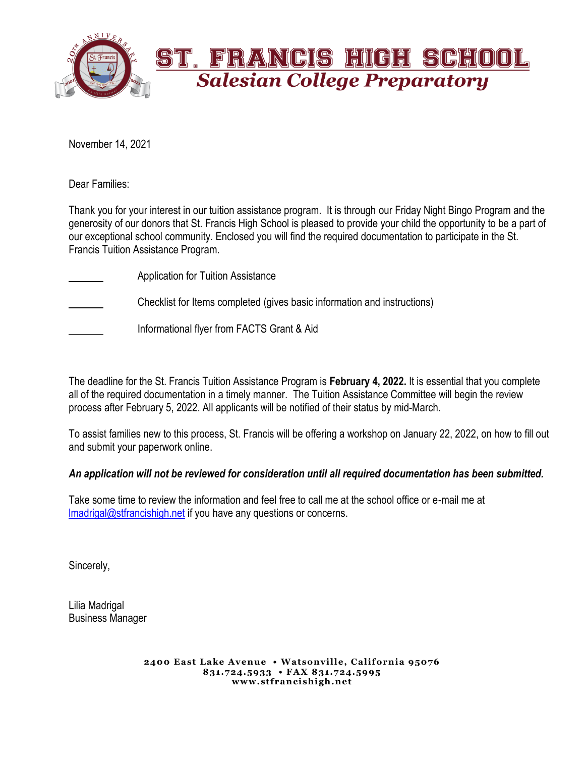

November 14, 2021

Dear Families:

Thank you for your interest in our tuition assistance program. It is through our Friday Night Bingo Program and the generosity of our donors that St. Francis High School is pleased to provide your child the opportunity to be a part of our exceptional school community. Enclosed you will find the required documentation to participate in the St. Francis Tuition Assistance Program.

- Application for Tuition Assistance Checklist for Items completed (gives basic information and instructions)
	- Informational flyer from FACTS Grant & Aid

The deadline for the St. Francis Tuition Assistance Program is **February 4, 2022.** It is essential that you complete all of the required documentation in a timely manner. The Tuition Assistance Committee will begin the review process after February 5, 2022. All applicants will be notified of their status by mid-March.

To assist families new to this process, St. Francis will be offering a workshop on January 22, 2022, on how to fill out and submit your paperwork online.

### *An application will not be reviewed for consideration until all required documentation has been submitted.*

Take some time to review the information and feel free to call me at the school office or e-mail me at [lmadrigal@stfrancishigh.net](mailto:lmadrigal@stfrancishigh.net) if you have any questions or concerns.

Sincerely,

Lilia Madrigal Business Manager

> **2400 East Lake Avenue • Watsonville, California 95076 831.724.5933 • FAX 831.724.5995 www.stfrancishigh.net**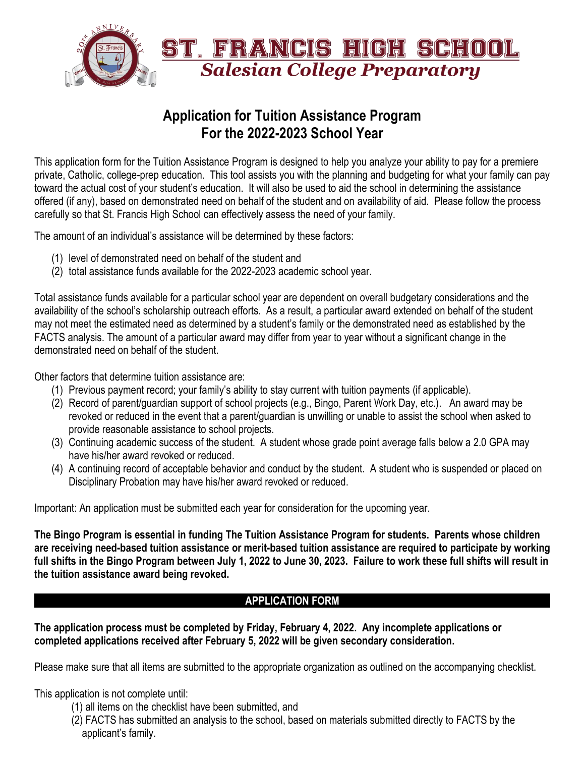

# **Application for Tuition Assistance Program For the 2022-2023 School Year**

This application form for the Tuition Assistance Program is designed to help you analyze your ability to pay for a premiere private, Catholic, college-prep education. This tool assists you with the planning and budgeting for what your family can pay toward the actual cost of your student's education. It will also be used to aid the school in determining the assistance offered (if any), based on demonstrated need on behalf of the student and on availability of aid. Please follow the process carefully so that St. Francis High School can effectively assess the need of your family.

The amount of an individual's assistance will be determined by these factors:

- (1) level of demonstrated need on behalf of the student and
- (2) total assistance funds available for the 2022-2023 academic school year.

Total assistance funds available for a particular school year are dependent on overall budgetary considerations and the availability of the school's scholarship outreach efforts. As a result, a particular award extended on behalf of the student may not meet the estimated need as determined by a student's family or the demonstrated need as established by the FACTS analysis. The amount of a particular award may differ from year to year without a significant change in the demonstrated need on behalf of the student.

Other factors that determine tuition assistance are:

- (1) Previous payment record; your family's ability to stay current with tuition payments (if applicable).
- (2) Record of parent/guardian support of school projects (e.g., Bingo, Parent Work Day, etc.). An award may be revoked or reduced in the event that a parent/guardian is unwilling or unable to assist the school when asked to provide reasonable assistance to school projects.
- (3) Continuing academic success of the student. A student whose grade point average falls below a 2.0 GPA may have his/her award revoked or reduced.
- (4) A continuing record of acceptable behavior and conduct by the student. A student who is suspended or placed on Disciplinary Probation may have his/her award revoked or reduced.

Important: An application must be submitted each year for consideration for the upcoming year.

**The Bingo Program is essential in funding The Tuition Assistance Program for students. Parents whose children are receiving need-based tuition assistance or merit-based tuition assistance are required to participate by working full shifts in the Bingo Program between July 1, 2022 to June 30, 2023. Failure to work these full shifts will result in the tuition assistance award being revoked.**

## **APPLICATION FORM**

**The application process must be completed by Friday, February 4, 2022. Any incomplete applications or completed applications received after February 5, 2022 will be given secondary consideration.**

Please make sure that all items are submitted to the appropriate organization as outlined on the accompanying checklist.

This application is not complete until:

- (1) all items on the checklist have been submitted, and
- (2) FACTS has submitted an analysis to the school, based on materials submitted directly to FACTS by the applicant's family.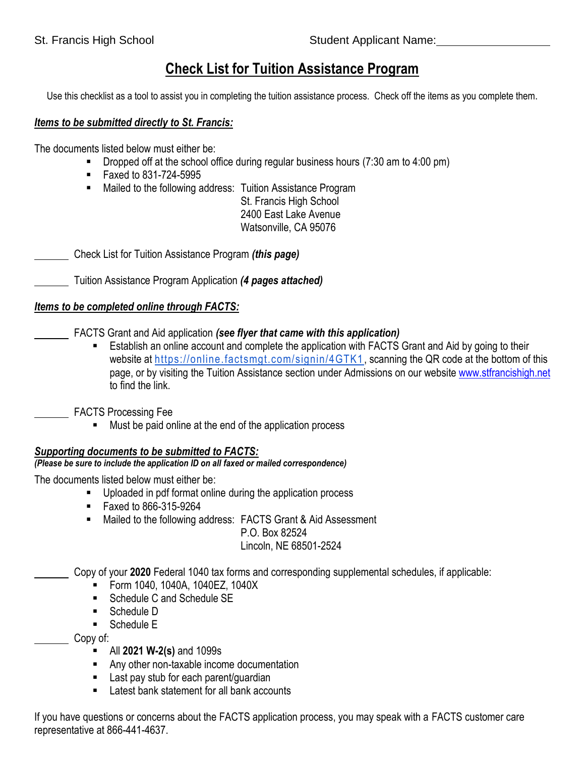# **Check List for Tuition Assistance Program**

Use this checklist as a tool to assist you in completing the tuition assistance process. Check off the items as you complete them.

### *Items to be submitted directly to St. Francis:*

The documents listed below must either be:

- **•** Dropped off at the school office during regular business hours  $(7:30 \text{ am to } 4:00 \text{ pm})$
- Faxed to 831-724-5995
- Mailed to the following address: Tuition Assistance Program
	- St. Francis High School 2400 East Lake Avenue Watsonville, CA 95076

Check List for Tuition Assistance Program *(this page)*

Tuition Assistance Program Application *(4 pages attached)*

## *Items to be completed online through FACTS:*

- FACTS Grant and Aid application *(see flyer that came with this application)* 
	- Establish an online account and complete the application with FACTS Grant and Aid by going to their website at<https://online.factsmgt.com/signin/4GTK1>, scanning the QR code at the bottom of this page, or by visiting the Tuition Assistance section under Admissions on our website [www.stfrancishigh.net](http://www.stfrancishigh.net/) to find the link.

FACTS Processing Fee

■ Must be paid online at the end of the application process

## *Supporting documents to be submitted to FACTS:*

### *(Please be sure to include the application ID on all faxed or mailed correspondence)*

The documents listed below must either be:

- Uploaded in pdf format online during the application process
- Faxed to 866-315-9264
- Mailed to the following address: FACTS Grant & Aid Assessment

P.O. Box 82524 Lincoln, NE 68501-2524

Copy of your **2020** Federal 1040 tax forms and corresponding supplemental schedules, if applicable:

- Form 1040, 1040A, 1040EZ, 1040X
- Schedule C and Schedule SF
- Schedule D
- Schedule E

Copy of:

- All **2021 W-2(s)** and 1099s
- Any other non-taxable income documentation
- Last pay stub for each parent/guardian
- Latest bank statement for all bank accounts

If you have questions or concerns about the FACTS application process, you may speak with a FACTS customer care representative at 866-441-4637.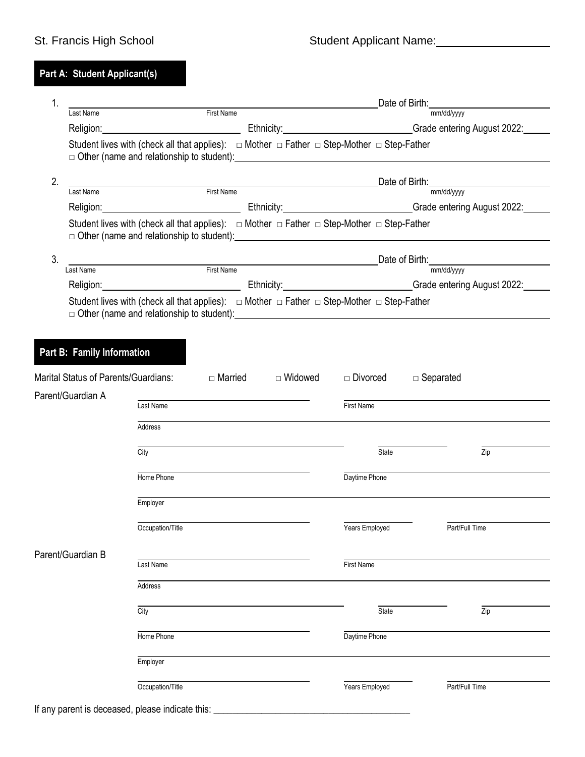## **Part A: Student Applicant(s)**

| 1.                | Date of Birth:                                                                                                 |                                                                                                                                                                                                                                                                                                                                                      |                     |                                             |                                                                                                                                                                                                                                |  |  |
|-------------------|----------------------------------------------------------------------------------------------------------------|------------------------------------------------------------------------------------------------------------------------------------------------------------------------------------------------------------------------------------------------------------------------------------------------------------------------------------------------------|---------------------|---------------------------------------------|--------------------------------------------------------------------------------------------------------------------------------------------------------------------------------------------------------------------------------|--|--|
|                   | Last Name                                                                                                      | First Name                                                                                                                                                                                                                                                                                                                                           |                     |                                             | mm/dd/yyyy                                                                                                                                                                                                                     |  |  |
|                   |                                                                                                                |                                                                                                                                                                                                                                                                                                                                                      |                     |                                             | Religion: Contract Contract Contract Contract Contract Contract Contract Contract Contract Contract Contract Contract Contract Contract Contract Contract Contract Contract Contract Contract Contract Contract Contract Contr |  |  |
|                   |                                                                                                                | Student lives with (check all that applies): $\Box$ Mother $\Box$ Father $\Box$ Step-Mother $\Box$ Step-Father                                                                                                                                                                                                                                       |                     |                                             |                                                                                                                                                                                                                                |  |  |
| 2.                | <u> 1989 - Jan Stein Stein, fransk politik (</u>                                                               |                                                                                                                                                                                                                                                                                                                                                      |                     |                                             |                                                                                                                                                                                                                                |  |  |
|                   | First Name<br>Last Name                                                                                        |                                                                                                                                                                                                                                                                                                                                                      | mm/dd/yyyy          |                                             |                                                                                                                                                                                                                                |  |  |
|                   |                                                                                                                |                                                                                                                                                                                                                                                                                                                                                      |                     |                                             | Religion: Contact Contact Contact Contact Contact Contact Contact Contact Contact Contact Contact Contact Conta                                                                                                                |  |  |
|                   | Student lives with (check all that applies): $\Box$ Mother $\Box$ Father $\Box$ Step-Mother $\Box$ Step-Father |                                                                                                                                                                                                                                                                                                                                                      |                     |                                             |                                                                                                                                                                                                                                |  |  |
| 3.                | ame First Name First Name                                                                                      |                                                                                                                                                                                                                                                                                                                                                      |                     | Date of Birth: $\frac{1}{\text{mm/dd/yyy}}$ |                                                                                                                                                                                                                                |  |  |
|                   | Last Name                                                                                                      |                                                                                                                                                                                                                                                                                                                                                      |                     |                                             |                                                                                                                                                                                                                                |  |  |
|                   |                                                                                                                |                                                                                                                                                                                                                                                                                                                                                      |                     |                                             | Religion: Cambridge Contract Contract Contract Contract Contract Contract Contract Contract Contract Contract Contract Contract Contract Contract Contract Contract Contract Contract Contract Contract Contract Contract Cont |  |  |
|                   |                                                                                                                | Student lives with (check all that applies): $\Box$ Mother $\Box$ Father $\Box$ Step-Mother $\Box$ Step-Father<br>□ Other (name and relationship to student): <u>[11]</u> The contract of the contract of the contract of the contract of the contract of the contract of the contract of the contract of the contract of the contract of the contra |                     |                                             |                                                                                                                                                                                                                                |  |  |
|                   |                                                                                                                |                                                                                                                                                                                                                                                                                                                                                      |                     |                                             |                                                                                                                                                                                                                                |  |  |
|                   | Part B: Family Information                                                                                     |                                                                                                                                                                                                                                                                                                                                                      |                     |                                             |                                                                                                                                                                                                                                |  |  |
|                   | Marital Status of Parents/Guardians:                                                                           |                                                                                                                                                                                                                                                                                                                                                      | □ Married □ Widowed | $\Box$ Divorced                             | $\Box$ Separated                                                                                                                                                                                                               |  |  |
|                   | Parent/Guardian A                                                                                              |                                                                                                                                                                                                                                                                                                                                                      |                     |                                             |                                                                                                                                                                                                                                |  |  |
|                   |                                                                                                                | Last Name                                                                                                                                                                                                                                                                                                                                            |                     | First Name                                  |                                                                                                                                                                                                                                |  |  |
|                   |                                                                                                                | Address                                                                                                                                                                                                                                                                                                                                              |                     |                                             |                                                                                                                                                                                                                                |  |  |
|                   |                                                                                                                | City                                                                                                                                                                                                                                                                                                                                                 |                     | State                                       | Zip                                                                                                                                                                                                                            |  |  |
|                   |                                                                                                                | Home Phone                                                                                                                                                                                                                                                                                                                                           |                     | Daytime Phone                               |                                                                                                                                                                                                                                |  |  |
|                   |                                                                                                                | Employer                                                                                                                                                                                                                                                                                                                                             |                     |                                             |                                                                                                                                                                                                                                |  |  |
|                   |                                                                                                                |                                                                                                                                                                                                                                                                                                                                                      |                     |                                             |                                                                                                                                                                                                                                |  |  |
|                   |                                                                                                                | Occupation/Title                                                                                                                                                                                                                                                                                                                                     |                     | Years Employed                              | Part/Full Time                                                                                                                                                                                                                 |  |  |
| Parent/Guardian B |                                                                                                                | Last Name                                                                                                                                                                                                                                                                                                                                            |                     | <b>First Name</b>                           |                                                                                                                                                                                                                                |  |  |
|                   |                                                                                                                | Address                                                                                                                                                                                                                                                                                                                                              |                     |                                             |                                                                                                                                                                                                                                |  |  |
|                   |                                                                                                                | City                                                                                                                                                                                                                                                                                                                                                 |                     | State                                       | Zip                                                                                                                                                                                                                            |  |  |
|                   |                                                                                                                | Home Phone                                                                                                                                                                                                                                                                                                                                           |                     | Daytime Phone                               |                                                                                                                                                                                                                                |  |  |
|                   |                                                                                                                |                                                                                                                                                                                                                                                                                                                                                      |                     |                                             |                                                                                                                                                                                                                                |  |  |
|                   |                                                                                                                | Employer                                                                                                                                                                                                                                                                                                                                             |                     |                                             |                                                                                                                                                                                                                                |  |  |
|                   |                                                                                                                | Occupation/Title                                                                                                                                                                                                                                                                                                                                     |                     | Years Employed                              | Part/Full Time                                                                                                                                                                                                                 |  |  |
|                   |                                                                                                                | If any parent is deceased, please indicate this:                                                                                                                                                                                                                                                                                                     |                     |                                             |                                                                                                                                                                                                                                |  |  |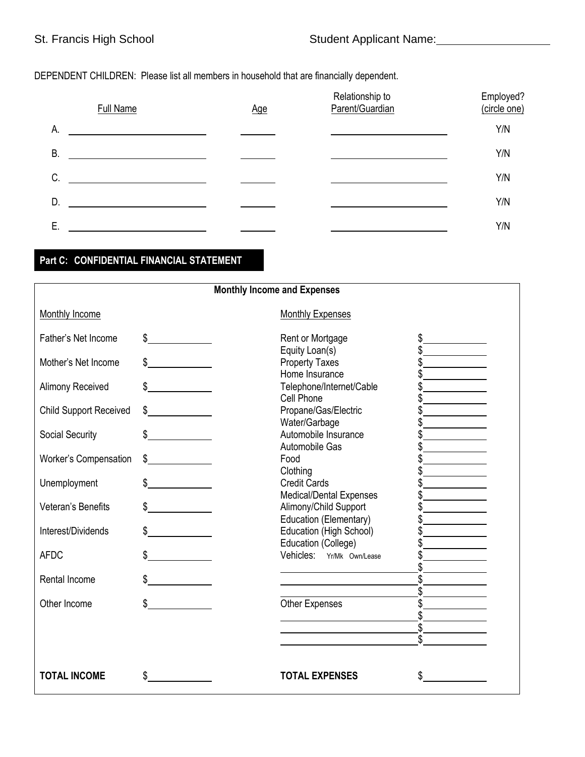## DEPENDENT CHILDREN: Please list all members in household that are financially dependent.

|    | <b>Full Name</b> | Age | Relationship to<br>Parent/Guardian | Employed?<br>(circle one) |
|----|------------------|-----|------------------------------------|---------------------------|
| А. |                  |     |                                    | Y/N                       |
| В. |                  |     |                                    | Y/N                       |
| C. |                  |     |                                    | Y/N                       |
| D. |                  |     |                                    | Y/N                       |
| Ε. |                  |     |                                    | Y/N                       |

## **Part C: CONFIDENTIAL FINANCIAL STATEMENT**

| <b>Monthly Income and Expenses</b> |               |                                                          |  |  |
|------------------------------------|---------------|----------------------------------------------------------|--|--|
| Monthly Income                     |               | <b>Monthly Expenses</b>                                  |  |  |
| Father's Net Income                | $\frac{1}{2}$ | Rent or Mortgage<br>\$                                   |  |  |
| Mother's Net Income                | $\frac{1}{2}$ | Equity Loan(s)<br><b>Property Taxes</b>                  |  |  |
| <b>Alimony Received</b>            | \$            | Home Insurance<br>Telephone/Internet/Cable<br>Cell Phone |  |  |
| <b>Child Support Received</b>      | $\frac{1}{2}$ | Propane/Gas/Electric<br>Water/Garbage                    |  |  |
| <b>Social Security</b>             | $\frac{1}{2}$ | Automobile Insurance<br>Automobile Gas                   |  |  |
| <b>Worker's Compensation</b>       | $\sim$        | Food<br>Clothing                                         |  |  |
| Unemployment                       | $\frac{1}{2}$ | <b>Credit Cards</b><br>Medical/Dental Expenses           |  |  |
| Veteran's Benefits                 | $\frac{1}{2}$ | Alimony/Child Support<br>Education (Elementary)          |  |  |
| Interest/Dividends                 | \$            | Education (High School)<br>Education (College)           |  |  |
| <b>AFDC</b>                        | $\mathbb{S}$  | Vehicles: Yr/Mk Own/Lease                                |  |  |
| Rental Income                      | \$            | \$                                                       |  |  |
| Other Income                       |               | Other Expenses                                           |  |  |
|                                    |               | \$<br>\$                                                 |  |  |
|                                    |               |                                                          |  |  |
| <b>TOTAL INCOME</b>                | \$            | <b>TOTAL EXPENSES</b><br>\$                              |  |  |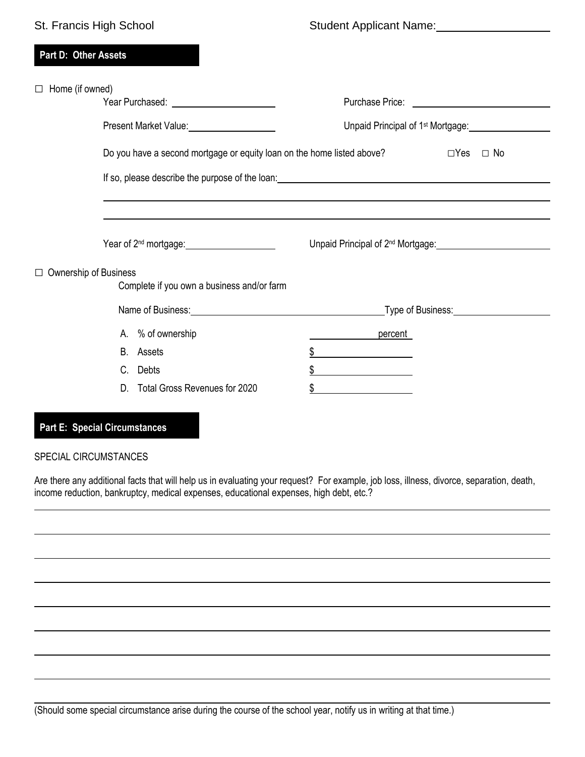| St. Francis High School      |                                                                        | Student Applicant Name: 1997 Marcusson                                                           |                                                                                                                                                                                                                                               |  |
|------------------------------|------------------------------------------------------------------------|--------------------------------------------------------------------------------------------------|-----------------------------------------------------------------------------------------------------------------------------------------------------------------------------------------------------------------------------------------------|--|
| Part D: Other Assets         |                                                                        |                                                                                                  |                                                                                                                                                                                                                                               |  |
| Home (if owned)<br>$\Box$    | Present Market Value: 2008                                             | Unpaid Principal of 1 <sup>st</sup> Mortgage: <u>Cambridge Community of the Boston Community</u> |                                                                                                                                                                                                                                               |  |
|                              | Do you have a second mortgage or equity loan on the home listed above? |                                                                                                  | $\Box$ Yes $\Box$ No                                                                                                                                                                                                                          |  |
|                              | Year of 2 <sup>nd</sup> mortgage:<br><u>Next</u> example 2014          |                                                                                                  | Unpaid Principal of 2 <sup>nd</sup> Mortgage: <b>contained a matter of 2nd Mortgage:</b> Containing the Containing Containing the Containing Containing Containing Containing Containing Containing Containing Containing Containing Containi |  |
| $\Box$ Ownership of Business | Complete if you own a business and/or farm                             |                                                                                                  |                                                                                                                                                                                                                                               |  |
|                              | Name of Business: Name of Business:                                    | _Type of Business:______________________                                                         |                                                                                                                                                                                                                                               |  |
|                              | A. % of ownership                                                      | <b>Example Property</b>                                                                          |                                                                                                                                                                                                                                               |  |
|                              | B. Assets                                                              |                                                                                                  |                                                                                                                                                                                                                                               |  |
|                              | C. Debts                                                               |                                                                                                  |                                                                                                                                                                                                                                               |  |
|                              | D. Total Gross Revenues for 2020                                       | \$                                                                                               |                                                                                                                                                                                                                                               |  |

### **Part E: Special Circumstances**

### SPECIAL CIRCUMSTANCES

Are there any additional facts that will help us in evaluating your request? For example, job loss, illness, divorce, separation, death, income reduction, bankruptcy, medical expenses, educational expenses, high debt, etc.?